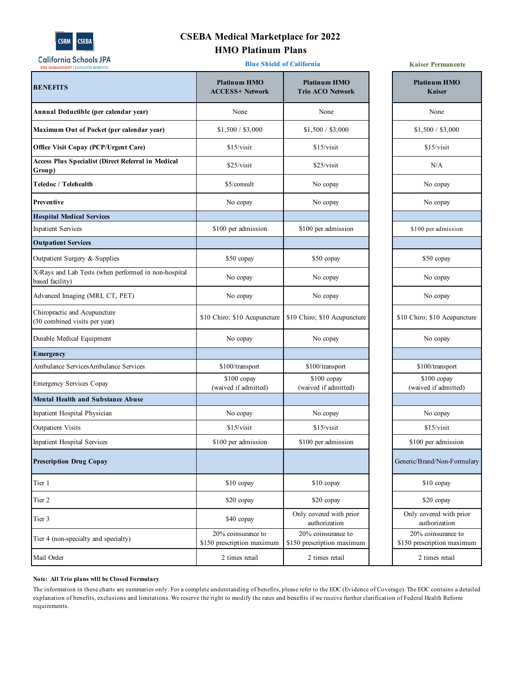

# **CSEBA Medical Marketplace for 2022 HMO Platinum Plans**

**Blue Shield of California**

| RISK MANAGEMENT   EMPLOYEE BENEFITS                                     |                                                  |                                                  |                                                  |
|-------------------------------------------------------------------------|--------------------------------------------------|--------------------------------------------------|--------------------------------------------------|
| <b>BENEFITS</b>                                                         | <b>Platinum HMO</b><br><b>ACCESS+ Network</b>    | <b>Platinum HMO</b><br><b>Trio ACO Network</b>   | <b>Platinum HMO</b><br>Kaiser                    |
| Annual Deductible (per calendar year)                                   | None                                             | None                                             | None                                             |
| Maximum Out of Pocket (per calendar year)                               | \$1,500 / \$3,000                                | \$1,500 / \$3,000                                | \$1,500 / \$3,000                                |
| <b>Office Visit Copay (PCP/Urgent Care)</b>                             | \$15/visit                                       | \$15/visit                                       | \$15/visit                                       |
| <b>Access Plus Specialist (Direct Referral in Medical</b><br>Group)     | \$25/visit                                       | \$25/visit                                       | N/A                                              |
| Teledoc / Telehealth                                                    | \$5/consult                                      | No copay                                         | No copay                                         |
| Preventive                                                              | No copay                                         | No copay                                         | No copay                                         |
| <b>Hospital Medical Services</b>                                        |                                                  |                                                  |                                                  |
| <b>Inpatient Services</b>                                               | \$100 per admission                              | \$100 per admission                              | \$100 per admission                              |
| <b>Outpatient Services</b>                                              |                                                  |                                                  |                                                  |
| Outpatient Surgery & Supplies                                           | \$50 copay                                       | \$50 copay                                       | \$50 copay                                       |
| X-Rays and Lab Tests (when performed in non-hospital<br>based facility) | No copay                                         | No copay                                         | No copay                                         |
| Advanced Imaging (MRI, CT, PET)                                         | No copay                                         | No copay                                         | No copay                                         |
| Chiropractic and Acupuncture<br>(30 combined visits per year)           | \$10 Chiro; \$10 Acupuncture                     | \$10 Chiro; \$10 Acupuncture                     | \$10 Chiro; \$10 Acupuncture                     |
| Durable Medical Equipment                                               | No copay                                         | No copay                                         | No copay                                         |
| <b>E</b> mergency                                                       |                                                  |                                                  |                                                  |
| Ambulance ServicesAmbulance Services                                    | \$100/transport                                  | \$100/transport                                  | \$100/transport                                  |
| <b>Emergency Services Copay</b>                                         | $$100$ copay<br>(waived if admitted)             | $$100$ copay<br>(waived if admitted)             | $$100$ copay<br>(waived if admitted)             |
| <b>Mental Health and Substance Abuse</b>                                |                                                  |                                                  |                                                  |
| Inpatient Hospital Physician                                            | No copay                                         | No copay                                         | No copay                                         |
| <b>Outpatient Visits</b>                                                | \$15/visit                                       | \$15/visit                                       | \$15/visit                                       |
| <b>Inpatient Hospital Services</b>                                      | \$100 per admission                              | \$100 per admission                              | \$100 per admission                              |
| <b>Prescription Drug Copay</b>                                          |                                                  |                                                  | Generic/Brand/Non-Formulary                      |
| Tier 1                                                                  | $$10$ copay                                      | \$10 copay                                       | \$10 copay                                       |
| Tier 2                                                                  | \$20 copay                                       | \$20 copay                                       | \$20 copay                                       |
| Tier 3                                                                  | \$40 copay                                       | Only covered with prior<br>authorization         | Only covered with prior<br>authorization         |
| Tier 4 (non-specialty and specialty)                                    | 20% coinsurance to<br>\$150 prescription maximum | 20% coinsurance to<br>\$150 prescription maximum | 20% coinsurance to<br>\$150 prescription maximum |
| Mail Order                                                              | 2 times retail                                   | 2 times retail                                   | 2 times retail                                   |

**Kaiser Permanente**

# **Note: All Trio plans wlll be Closed Formulary**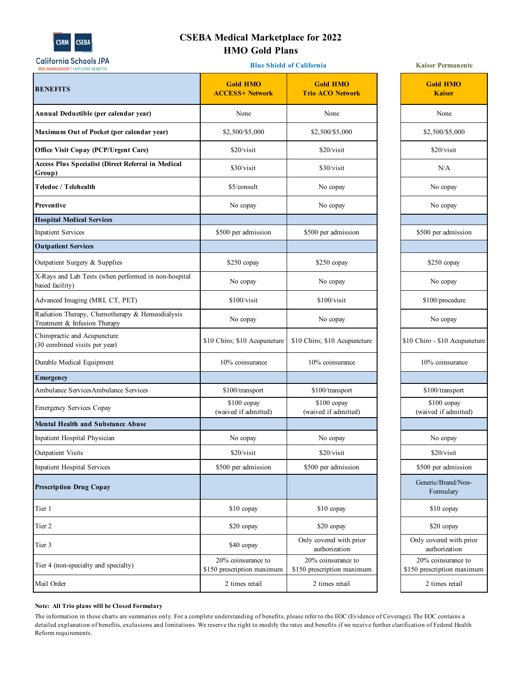

# **CSEBA Medical Marketplace for 2022 HMO Gold Plans**

| <b>California Schools JPA</b><br><b>RISK MANAGEMENT   EMPLOYEE BENEFITS</b>     | <b>Blue Shield of California</b>                 | <b>Kaiser Permanente</b>                         |                                                  |
|---------------------------------------------------------------------------------|--------------------------------------------------|--------------------------------------------------|--------------------------------------------------|
| <b>BENEFITS</b>                                                                 | <b>Gold HMO</b><br><b>ACCESS+ Network</b>        | <b>Gold HMO</b><br><b>Trio ACO Network</b>       | <b>Gold HMO</b><br><b>Kaiser</b>                 |
| Annual Deductible (per calendar year)                                           | None                                             | None                                             | None                                             |
| Maximum Out of Pocket (per calendar year)                                       | \$2,500/\$5,000                                  | \$2,500/\$5,000                                  | \$2,500/\$5,000                                  |
| <b>Office Visit Copay (PCP/Urgent Care)</b>                                     | \$20/visit                                       | \$20/visit                                       | \$20/visit                                       |
| <b>Access Plus Specialist (Direct Referral in Medical</b><br>Group)             | \$30/visit                                       | \$30/visit                                       | N/A                                              |
| Teledoc / Telehealth                                                            | \$5/consult                                      | No copay                                         | No copay                                         |
| <b>Preventive</b>                                                               | No copay                                         | No copay                                         | No copay                                         |
| <b>Hospital Medical Services</b>                                                |                                                  |                                                  |                                                  |
| <b>Inpatient Services</b>                                                       | \$500 per admission                              | \$500 per admission                              | \$500 per admission                              |
| <b>Outpatient Services</b>                                                      |                                                  |                                                  |                                                  |
| Outpatient Surgery & Supplies                                                   | \$250 copay                                      | \$250 copay                                      | \$250 copay                                      |
| X-Rays and Lab Tests (when performed in non-hospital<br>based facility)         | No copay                                         | No copay                                         | No copay                                         |
| Advanced Imaging (MRI, CT, PET)                                                 | \$100/visit                                      | \$100/visit                                      | \$100/procedure                                  |
| Radiation Therapy, Chemotherapy & Hemeodialysis<br>Treatment & Infusion Therapy | No copay                                         | No copay                                         | No copay                                         |
| Chiropractic and Acupuncture<br>(30 combined visits per year)                   | \$10 Chiro; \$10 Acupuncture                     | \$10 Chiro; \$10 Acupuncture                     | \$10 Chiro - \$10 Acupuncture                    |
| Durable Medical Equipment                                                       | 10% coinsurance                                  | 10% coinsurance                                  | 10% coinsurance                                  |
| <b>E</b> mergency                                                               |                                                  |                                                  |                                                  |
| Ambulance ServicesAmbulance Services                                            | \$100/transport                                  | \$100/transport                                  | \$100/transport                                  |
| Emergency Services Copay                                                        | \$100 copay<br>(waived if admitted)              | \$100 copay<br>(waived if admitted)              | \$100 copay<br>(waived if admitted)              |
| <b>Mental Health and Substance Abuse</b>                                        |                                                  |                                                  |                                                  |
| Inpatient Hospital Physician                                                    | No copay                                         | No copay                                         | No copay                                         |
| <b>Outpatient Visits</b>                                                        | \$20/visit                                       | \$20/visit                                       | \$20/visit                                       |
| Inpatient Hospital Services                                                     | \$500 per admission                              | \$500 per admission                              | \$500 per admission                              |
| <b>Prescription Drug Copay</b>                                                  |                                                  |                                                  | Generic/Brand/Non-<br>Formulary                  |
| Tier 1                                                                          | \$10 copay                                       | \$10 copay                                       | $$10$ copay                                      |
| Tier 2                                                                          | \$20 copay                                       | \$20 copay                                       | \$20 copay                                       |
| Tier 3                                                                          | \$40 copay                                       | Only covered with prior<br>authorization         | Only covered with prior<br>authorization         |
| Tier 4 (non-specialty and specialty)                                            | 20% coinsurance to<br>\$150 prescription maximum | 20% coinsurance to<br>\$150 prescription maximum | 20% coinsurance to<br>\$150 prescription maximum |
| Mail Order                                                                      | 2 times retail                                   | 2 times retail                                   | 2 times retail                                   |

| <b>Gold HMO</b><br><b>Kaiser</b>         |
|------------------------------------------|
| None                                     |
| \$2,500/\$5,000                          |
| \$20/visit                               |
| N/A                                      |
| No copay                                 |
| No copay                                 |
|                                          |
| \$500 per admission                      |
|                                          |
| $$250$ copay                             |
| No copay                                 |
| \$100/procedure                          |
| No copay                                 |
| \$10 Chiro - \$10 Acupuncture            |
| 10% coinsurance                          |
|                                          |
| \$100/transport                          |
| \$100 copay                              |
| (waived if admitted)                     |
|                                          |
| No copay                                 |
| \$20/visit                               |
| \$500 per admission                      |
| Generic/Brand/Non-<br>Formulary          |
| \$10 copay                               |
| \$20 copay                               |
| Only covered with prior<br>authorization |
| 20% coinsurance to                       |
| \$150 prescription maximum               |
| 2 times retail                           |

## **Note: All Trio plans wlll be Closed Formulary**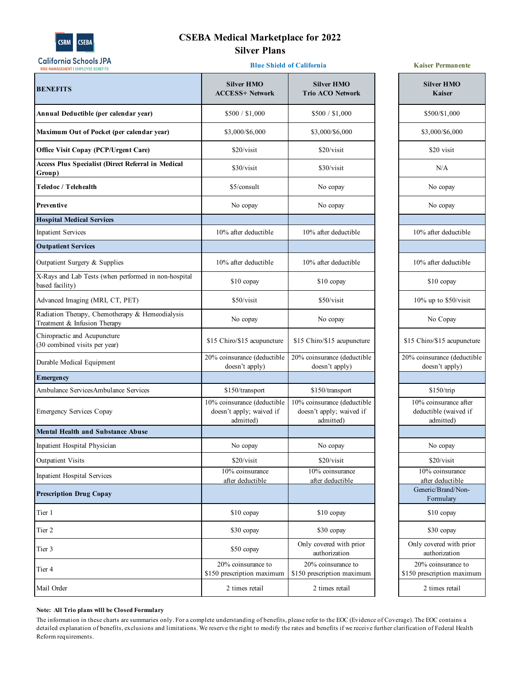

# **CSEBA Medical Marketplace for 2022 Silver Plans**

**Blue Shield of California**

# **RISK MANAGEMENT | EMPLOYEE BENEFITS Silver HMO Silver HMO BENEFITS ACCESS+ Network Trio ACO Network Annual Deductible (per calendar year)** \$500 / \$1,000 \$500 / \$1,000 **Maximum Out of Pocket (per calendar year)** \$3,000/\$6,000 \$53,000/\$6,000 **Office Visit Copay (PCP/Urgent Care)** \$20/visit \$20/visit \$20/visit \$20/visit **Access Plus Specialist (Direct Referral in Medical Group)** \$30/visit \$30/visit \$30/visit \$30/visit \$30/visit N/A **Teledoc / Telehealth No copay No copay No copay No copay No copay No copay No copay No copay No copay No copay Preventive** No copay No copay No copay **Hospital Medical Services** Inpatient Services 10% after deductible 10% after deductible 10% after deductible **Outpatient Services** Outpatient Surgery & Supplies 10% after deductible 10% after deductible 10% after deductible X-Rays and Lab Tests (when performed in non-hospital based facility) \$10 copay \$10 copay \$10 copay \$10 copay \$10 copay \$10 copay \$10 copay Advanced Imaging (MRI, CT, PET) \$50/visit \$50/visit \$50/visit \$50/visit Radiation Therapy, Chemotherapy & Hemeodialysis Treatment & Infusion Therapy  $\alpha$  Treincourary six No copay No copay No copay Chiropractic and Acupuncture (30 combined visits per year) \$15 Chiro/\$15 acupuncture \$15 Chiro/\$15 acupuncture Durable Medical Equipment 20% coinsurance (deductible 20% coinsurance (deductible doesn't apply) doesn't apply) **Emergency** Ambulance ServicesAmbulance Services  $$150/transport$  \$150/transport \$150/transport 10% coinsurance (deductible 10% coinsurance (deductible Emergency Services Copay doesn't apply; waived if doesn't apply; waived if admitted) admitted) **Mental Health and Substance Abuse** Inpatient Hospital Physician No copay No copay No copay No copay No copay Outpatient Visits \$20/visit \$20/visit \$20/visit \$20/visit \$20/visit Inpatient Hospital Services 10% coinsurance 10% coinsurance after deductible after deductible **Prescription Drug Copay** Tier 1 \$10 copay \$10 copay \$10 copay \$10 copay \$10 copay \$10 copay Tier 2 \$30 copay \$30 copay \$30 copay \$30 copay \$30 copay \$30 copay Tier 3 850 copay Only covered with prior authorization Tier 4 20% coinsurance to 20% coinsurance to \$150 prescription maximum \$150 prescription maximum Mail Order 2 times retail 2 times retail 2 times retail 2 times retail 2 times retail

**Kaiser Permanente**

| <b>Silver HMO</b><br><b>Kaiser</b>               |
|--------------------------------------------------|
| \$500/\$1,000                                    |
| \$3,000/\$6,000                                  |
| \$20 visit                                       |
| N/A                                              |
| No copay                                         |
| No copay                                         |
| 10% after deductible                             |
|                                                  |
| 10% after deductible                             |
| \$10 copay                                       |
| 10% up to \$50/visit                             |
| No Copay                                         |
| \$15 Chiro/\$15 acupuncture                      |
|                                                  |
| 20% coinsurance (deductible<br>doesn't apply)    |
|                                                  |
| \$150/trip                                       |
| 10% coinsurance after<br>deductible (waived if   |
| admitted)                                        |
|                                                  |
| No copay                                         |
| \$20/visit                                       |
| 10% coinsurance                                  |
| after deductible                                 |
| Generic/Brand/Non-<br>Formulary                  |
| \$10 copay                                       |
| \$30 copay                                       |
| Only covered with prior                          |
| authorization                                    |
| 20% coinsurance to<br>\$150 prescription maximum |

### **Note: All Trio plans wlll be Closed Formulary**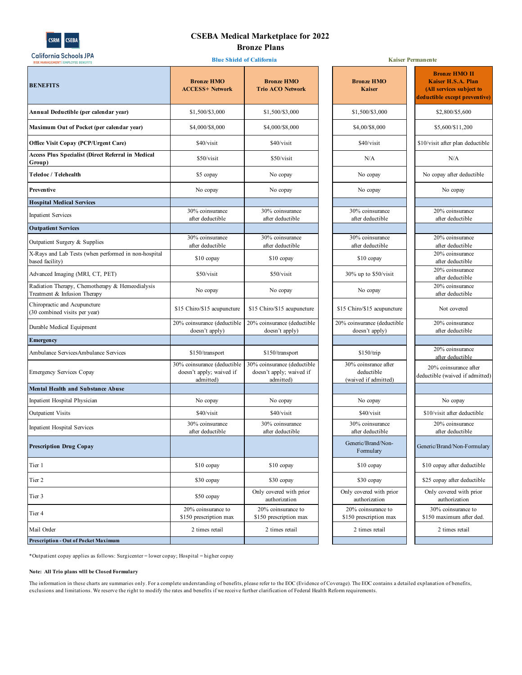

## **CSEBA Medical Marketplace for 2022 Bronze Plans**

| <br><b>RISK MANAGEMENT   EMPLOYEE BENEFITS</b>                                  |                                                                      | <b>Blue Shield of California</b>                                     | <b>Kaiser Permanente</b>                                   |                                                                                                        |
|---------------------------------------------------------------------------------|----------------------------------------------------------------------|----------------------------------------------------------------------|------------------------------------------------------------|--------------------------------------------------------------------------------------------------------|
| <b>BENEFITS</b>                                                                 | <b>Bronze HMO</b><br><b>ACCESS+ Network</b>                          | <b>Bronze HMO</b><br><b>Trio ACO Network</b>                         | <b>Bronze HMO</b><br><b>Kaiser</b>                         | <b>Bronze HMO II</b><br>Kaiser H.S.A. Plan<br>(All services subject to<br>deductible except preventive |
| Annual Deductible (per calendar year)                                           | \$1,500/\$3,000                                                      | \$1,500/\$3,000                                                      | \$1,500/\$3,000                                            | \$2,800/\$5,600                                                                                        |
| Maximum Out of Pocket (per calendar year)                                       | \$4,000/\$8,000                                                      | \$4,000/\$8,000                                                      | \$4,00/\$8,000                                             | \$5,600/\$11,200                                                                                       |
| <b>Office Visit Copay (PCP/Urgent Care)</b>                                     | \$40/visit                                                           | \$40/visit                                                           | \$40/visit                                                 | \$10/visit after plan deductible                                                                       |
| <b>Access Plus Specialist (Direct Referral in Medical</b><br>Group)             | \$50/visit                                                           | \$50/visit                                                           | N/A                                                        | N/A                                                                                                    |
| Teledoc / Telehealth                                                            | \$5 copay                                                            | No copay                                                             | No copay                                                   | No copay after deductible                                                                              |
| Preventive                                                                      | No copay                                                             | No copay                                                             | No copay                                                   | No copay                                                                                               |
| <b>Hospital Medical Services</b>                                                |                                                                      |                                                                      |                                                            |                                                                                                        |
| <b>Inpatient Services</b>                                                       | 30% coinsurance<br>after deductible                                  | 30% coinsurance<br>after deductible                                  | 30% coinsurance<br>after deductible                        | 20% coinsurance<br>after deductible                                                                    |
| <b>Outpatient Services</b>                                                      |                                                                      |                                                                      |                                                            |                                                                                                        |
| Outpatient Surgery & Supplies                                                   | 30% coinsurance<br>after deductible                                  | 30% coinsurance<br>after deductible                                  | 30% coinsurance<br>after deductible                        | 20% coinsurance<br>after deductible                                                                    |
| X-Rays and Lab Tests (when performed in non-hospital<br>based facility)         | $$10$ copay                                                          | $$10$ copay                                                          | \$10 copay                                                 | 20% coinsurance<br>after deductible                                                                    |
| Advanced Imaging (MRI, CT, PET)                                                 | \$50/visit                                                           | \$50/visit                                                           | $30\%$ up to $$50/visit$                                   | 20% coinsurance<br>after deductible                                                                    |
| Radiation Therapy, Chemotherapy & Hemeodialysis<br>Treatment & Infusion Therapy | No copay                                                             | No copay                                                             | No copay                                                   | 20% coinsurance<br>after deductible                                                                    |
| Chiropractic and Acupuncture<br>(30 combined visits per year)                   | \$15 Chiro/\$15 acupuncture                                          | \$15 Chiro/\$15 acupuncture                                          | \$15 Chiro/\$15 acupuncture                                | Not covered                                                                                            |
| Durable Medical Equipment                                                       | 20% coinsurance (deductible<br>doesn't apply)                        | 20% coinsurance (deductible<br>doesn't apply)                        | 20% coinsurance (deductible<br>doesn't apply)              | 20% coinsurance<br>after deductible                                                                    |
| <b>E</b> mergency                                                               |                                                                      |                                                                      |                                                            |                                                                                                        |
| Ambulance ServicesAmbulance Services                                            | \$150/transport                                                      | \$150/transport                                                      | \$150/trip                                                 | 20% coinsurance<br>after deductible                                                                    |
| <b>Emergency Services Copay</b>                                                 | 30% coinsurance (deductible<br>doesn't apply; waived if<br>admitted) | 30% coinsurance (deductible<br>doesn't apply; waived if<br>admitted) | 30% coinsrance after<br>deductible<br>(waived if admitted) | 20% coinsurance after<br>deductible (waived if admitted                                                |
| <b>Mental Health and Substance Abuse</b>                                        |                                                                      |                                                                      |                                                            |                                                                                                        |
| Inpatient Hospital Physician                                                    | No copay                                                             | No copay                                                             | No copay                                                   | No copay                                                                                               |
| <b>Outpatient Visits</b>                                                        | \$40/visit                                                           | \$40/visit                                                           | \$40/visit                                                 | \$10/visit after deductible                                                                            |
| Inpatient Hospital Services                                                     | 30% coinsurance<br>after deductible                                  | 30% coinsurance<br>after deductible                                  | 30% coinsurance<br>after deductible                        | 20% coinsurance<br>after deductible                                                                    |
| <b>Prescription Drug Copay</b>                                                  |                                                                      |                                                                      | Generic/Brand/Non-<br>Formulary                            | Generic/Brand/Non-Formulary                                                                            |
| Tier 1                                                                          | $$10$ copay                                                          | $$10$ copay                                                          | $$10$ copay                                                | \$10 copay after deductible                                                                            |
| Tier 2                                                                          | \$30 copay                                                           | \$30 copay                                                           | \$30 copay                                                 | \$25 copay after deductible                                                                            |
| Tier 3                                                                          | \$50 copay                                                           | Only covered with prior<br>authorization                             | Only covered with prior<br>authorization                   | Only covered with prior<br>authorization                                                               |
| Tier 4                                                                          | 20% coinsurance to<br>\$150 prescription max                         | 20% coinsurance to<br>\$150 prescription max                         | 20% coinsurance to<br>\$150 prescription max               | 30% coinsurance to<br>\$150 maximum after ded.                                                         |
| Mail Order                                                                      | 2 times retail                                                       | 2 times retail                                                       | 2 times retail                                             | 2 times retail                                                                                         |
| <b>Prescription - Out of Pocket Maximum</b>                                     |                                                                      |                                                                      |                                                            |                                                                                                        |

|                                          | <b>Kaiser Permanente</b>                                                                                       |
|------------------------------------------|----------------------------------------------------------------------------------------------------------------|
| <b>Bronze HMO</b><br><b>Kaiser</b>       | <b>Bronze HMO II</b><br><b>Kaiser H.S.A. Plan</b><br>(All services subject to<br>deductible except preventive) |
| \$1,500/\$3,000                          | \$2,800/\$5,600                                                                                                |
| \$4,00/\$8,000                           | \$5,600/\$11,200                                                                                               |
| \$40/visit                               | \$10/visit after plan deductible                                                                               |
| N/A                                      | N/A                                                                                                            |
| No copay                                 | No copay after deductible                                                                                      |
| No copay                                 | No copay                                                                                                       |
|                                          |                                                                                                                |
| 30% coinsurance                          | 20% coinsurance                                                                                                |
| after deductible                         | after deductible                                                                                               |
|                                          |                                                                                                                |
| 30% coinsurance                          | 20% coinsurance                                                                                                |
| after deductible                         | after deductible                                                                                               |
|                                          | 20% coinsurance                                                                                                |
| \$10 copay                               | after deductible                                                                                               |
|                                          | 20% coinsurance                                                                                                |
| $30\%$ up to $$50/visit$                 | after deductible                                                                                               |
| No copay                                 | 20% coinsurance                                                                                                |
|                                          | after deductible                                                                                               |
| \$15 Chiro/\$15 acupuncture              | Not covered                                                                                                    |
| 20% coinsurance (deductible              | 20% coinsurance                                                                                                |
| doesn't apply)                           | after deductible                                                                                               |
|                                          |                                                                                                                |
|                                          | 20% coinsurance                                                                                                |
| \$150/trip                               | after deductible                                                                                               |
| 30% coinsrance after                     | 20% coinsurance after                                                                                          |
| deductible                               | deductible (waived if admitted)                                                                                |
| (waived if admitted)                     |                                                                                                                |
|                                          |                                                                                                                |
| No copay                                 | No copay                                                                                                       |
| \$40/visit                               | \$10/visit after deductible                                                                                    |
| 30% coinsurance                          | 20% coinsurance                                                                                                |
| after deductible                         | after deductible                                                                                               |
| Generic/Brand/Non-<br>Formulary          | Generic/Brand/Non-Formulary                                                                                    |
| \$10 copay                               | \$10 copay after deductible                                                                                    |
| \$30 copay                               | \$25 copay after deductible                                                                                    |
| Only covered with prior<br>authorization | Only covered with prior<br>authorization                                                                       |
| 20% coinsurance to                       | 30% coinsurance to                                                                                             |
| \$150 prescription max                   | \$150 maximum after ded.                                                                                       |
| 2 times retail                           | 2 times retail                                                                                                 |
|                                          |                                                                                                                |
|                                          |                                                                                                                |

\*Outpatient copay applies as follows: Surgicenter = lower copay; Hospital = higher copay

#### **Note: All Trio plans wlll be Closed Formulary**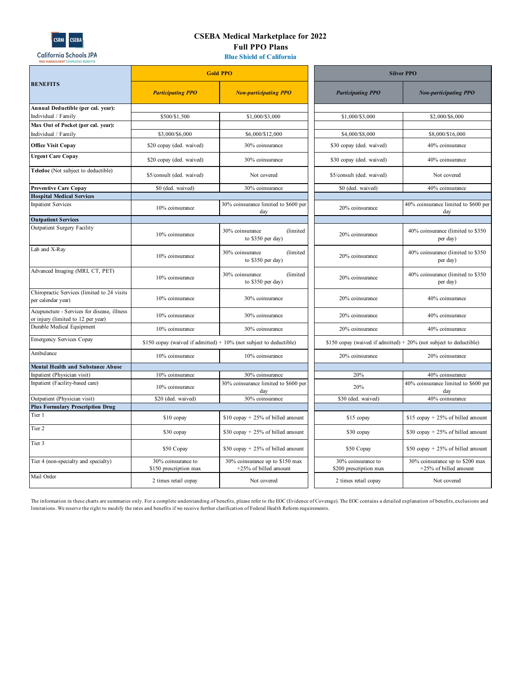

# **CSEBA Medical Marketplace for 2022 Full PPO Plans**

**Blue Shield of California**

|                                                                                   |                                              | <b>Gold PPO</b>                                                      | <b>Silver PPO</b>                            |                                                                       |
|-----------------------------------------------------------------------------------|----------------------------------------------|----------------------------------------------------------------------|----------------------------------------------|-----------------------------------------------------------------------|
| <b>BENEFITS</b>                                                                   | <b>Participating PPO</b>                     | <b>Non-participating PPO</b>                                         | <b>Participating PPO</b>                     | <b>Non-participating PPO</b>                                          |
| Annual Deductible (per cal. year):                                                |                                              |                                                                      |                                              |                                                                       |
| Individual / Family                                                               | \$500/\$1,500                                | \$1,000/\$3,000                                                      | \$1,000/\$3,000                              | \$2,000/\$6,000                                                       |
| Max Out of Pocket (per cal. year):                                                |                                              |                                                                      |                                              |                                                                       |
| Individual / Family                                                               | \$3,000/\$6,000                              | \$6,000/\$12,000                                                     | \$4,000/\$8,000                              | \$8,000/\$16,000                                                      |
| <b>Office Visit Copay</b>                                                         | \$20 copay (ded. waived)                     | 30% coinsurance                                                      | \$30 copay (ded. waived)                     | 40% coinsurance                                                       |
| <b>Urgent Care Copay</b>                                                          | \$20 copay (ded. waived)                     | 30% coinsurance                                                      | \$30 copay (ded. waived)                     | 40% coinsurance                                                       |
| Teledoc (Not subject to deductible)                                               | \$5/consult (ded. waived)                    | Not covered                                                          | \$5/consult (ded. waived)                    | Not covered                                                           |
| <b>Preventive Care Copay</b>                                                      | \$0 (ded. waived)                            | 30% coinsurance                                                      | \$0 (ded. waived)                            | 40% coinsurance                                                       |
| <b>Hospital Medical Services</b>                                                  |                                              |                                                                      |                                              |                                                                       |
| <b>Inpatient Services</b>                                                         | 10% coinsurance                              | 30% coinsurance limited to \$600 per<br>day                          | 20% coinsurance                              | 40% coinsurance limited to \$600 per<br>day                           |
| <b>Outpatient Services</b>                                                        |                                              |                                                                      |                                              |                                                                       |
| Outpatient Surgery Facility                                                       | 10% coinsurance                              | 30% coinsurance<br>(limited<br>to \$350 per day)                     | 20% coinsurance                              | 40% coinsurance (limited to \$350<br>per day)                         |
| Lab and X-Ray                                                                     | 10% coinsurance                              | (limited<br>30% coinsurance<br>to \$350 per day)                     | 20% coinsurance                              | 40% coinsurance (limited to \$350<br>per day)                         |
| Advanced Imaging (MRI, CT, PET)                                                   | 10% coinsurance                              | 30% coinsurance<br>(limited<br>to $$350$ per day)                    | 20% coinsurance                              | 40% coinsurance (limited to \$350<br>per day)                         |
| Chiropractic Services (limited to 24 visits<br>per calendar year)                 | 10% coinsurance                              | 30% coinsurance                                                      | 20% coinsurance                              | 40% coinsurance                                                       |
| Acupuncture - Services for disease, illness<br>or injury (limited to 12 per year) | 10% coinsurance                              | 30% coinsurance                                                      | 20% coinsurance                              | 40% coinsurance                                                       |
| Durable Medical Equipment                                                         | 10% coinsurance                              | 30% coinsurance                                                      | 20% coinsurance                              | 40% coinsurance                                                       |
| <b>Emergency Services Copay</b>                                                   |                                              | \$150 copay (waived if admitted) $+$ 10% (not subject to deductible) |                                              | \$150 copay (waived if admitted) $+ 20\%$ (not subject to deductible) |
| Ambulance                                                                         | 10% coinsurance                              | 10% coinsurance                                                      | 20% coinsurance                              | 20% coinsurance                                                       |
| <b>Mental Health and Substance Abuse</b>                                          |                                              |                                                                      |                                              |                                                                       |
| Inpatient (Physician visit)                                                       | 10% coinsurance                              | 30% coinsurance                                                      | 20%                                          | 40% coinsurance                                                       |
| Inpatient (Facility-based care)                                                   | 10% coinsurance                              | 30% coinsurance limited to \$600 per<br>day                          | 20%                                          | 40% coinsurance limited to \$600 per<br>day                           |
| Outpatient (Physician visit)                                                      | \$20 (ded. waived)                           | 30% coinsurance                                                      | \$30 (ded. waived)                           | 40% coinsurance                                                       |
| <b>Plus Formulary Prescription Drug</b>                                           |                                              |                                                                      |                                              |                                                                       |
| Tier 1                                                                            | \$10 copay                                   | \$10 copay $+ 25%$ of billed amount                                  | \$15 copay                                   | \$15 copay $+25%$ of billed amount                                    |
| Tier <sub>2</sub>                                                                 | \$30 copay                                   | \$30 copay $+25%$ of billed amount                                   | \$30 copay                                   | \$30 copay $+25%$ of billed amount                                    |
| Tier 3                                                                            | \$50 Copay                                   | \$50 copay $+25%$ of billed amount                                   | \$50 Copay                                   | \$50 copay $+25%$ of billed amount                                    |
| Tier 4 (non-specialty and specialty)                                              | 30% coinsurance to<br>\$150 prescription max | 30% coinsurance up to \$150 max<br>+25% of billed amount             | 30% coinsurance to<br>\$200 prescription max | 30% coinsurance up to \$200 max<br>+25% of billed amount              |
| Mail Order                                                                        | 2 times retail copay                         | Not covered                                                          | 2 times retail copay                         | Not covered                                                           |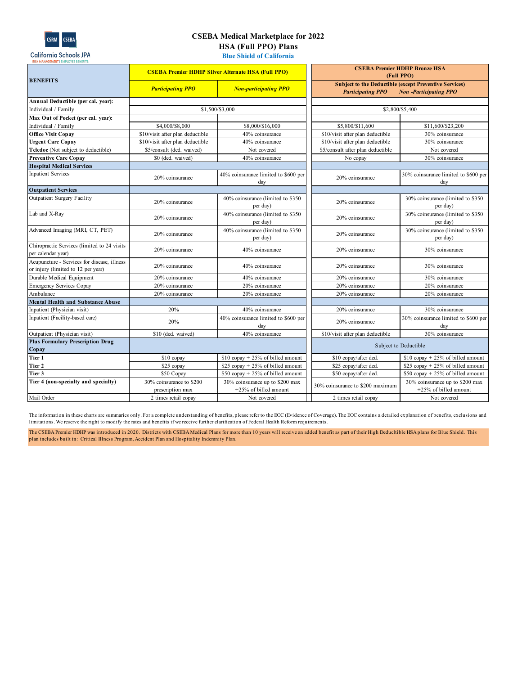

K MANAGEMENT | EMPL

# **CSEBA Medical Marketplace for 2022 HSA (Full PPO) Plans**

T  $\mathcal{L}$  **CSEBA Premier HDHP Bronze HSA** 

**Blue Shield of California**

|                                                                                   | <b>CSEBA Premier HDHP Silver Alternate HSA (Full PPO)</b> |                                                          | <b>CSEBA Premier HDHP Bronze HSA</b><br>(Full PPO) |                                                                                               |
|-----------------------------------------------------------------------------------|-----------------------------------------------------------|----------------------------------------------------------|----------------------------------------------------|-----------------------------------------------------------------------------------------------|
| <b>BENEFITS</b>                                                                   | <b>Participating PPO</b>                                  | <b>Non-participating PPO</b>                             | <b>Participating PPO</b>                           | <b>Subject to the Deductible (except Preventive Services)</b><br><b>Non-Participating PPO</b> |
| Annual Deductible (per cal. year):                                                |                                                           |                                                          |                                                    |                                                                                               |
| Individual / Family                                                               | \$1,500/\$3,000                                           |                                                          | \$2,800/\$5,400                                    |                                                                                               |
| Max Out of Pocket (per cal. year):                                                |                                                           |                                                          |                                                    |                                                                                               |
| Individual / Family                                                               | \$4,000/\$8,000                                           | \$8,000/\$16,000                                         | \$5,800/\$11,600                                   | \$11,600/\$23,200                                                                             |
| <b>Office Visit Copav</b>                                                         | \$10/visit after plan deductible                          | 40% coinsurance                                          | \$10/visit after plan deductible                   | 30% coinsurance                                                                               |
| <b>Urgent Care Copay</b>                                                          | \$10/visit after plan deductible                          | 40% coinsurance                                          | \$10/visit after plan deductible                   | 30% coinsurance                                                                               |
| Teledoc (Not subject to deductible)                                               | \$5/consult (ded. waived)                                 | Not covered                                              | \$5/consult after plan deductible                  | Not covered                                                                                   |
| <b>Preventive Care Copay</b>                                                      | \$0 (ded. waived)                                         | 40% coinsurance                                          | No copay                                           | 30% coinsurance                                                                               |
| <b>Hospital Medical Services</b>                                                  |                                                           |                                                          |                                                    |                                                                                               |
| <b>Inpatient Services</b>                                                         | 20% coinsurance                                           | 40% coinsurance limited to \$600 per<br>day              | 20% coinsurance                                    | 30% coinsurance limited to \$600 per<br>day                                                   |
| <b>Outpatient Services</b>                                                        |                                                           |                                                          |                                                    |                                                                                               |
| Outpatient Surgery Facility                                                       | 20% coinsurance                                           | 40% coinsurance (limited to \$350<br>per day)            | 20% coinsurance                                    | 30% coinsurance (limited to \$350<br>per day)                                                 |
| Lab and X-Ray                                                                     | 20% coinsurance                                           | 40% coinsurance (limited to \$350<br>per day)            | 20% coinsurance                                    | 30% coinsurance (limited to \$350<br>per day)                                                 |
| Advanced Imaging (MRI, CT, PET)                                                   | 20% coinsurance                                           | 40% coinsurance (limited to \$350<br>per day)            | 20% coinsurance                                    | 30% coinsurance (limited to \$350<br>per day)                                                 |
| Chiropractic Services (limited to 24 visits<br>per calendar year)                 | 20% coinsurance                                           | 40% coinsurance                                          | 20% coinsurance                                    | 30% coinsurance                                                                               |
| Acupuncture - Services for disease, illness<br>or injury (limited to 12 per year) | 20% coinsurance                                           | 40% coinsurance                                          | 20% coinsurance                                    | 30% coinsurance                                                                               |
| Durable Medical Equipment                                                         | 20% coinsurance                                           | 40% coinsurance                                          | 20% coinsurance                                    | 30% coinsurance                                                                               |
| Emergency Services Copay                                                          | 20% coinsurance                                           | 20% coinsurance                                          | 20% coinsurance                                    | 20% coinsurance                                                                               |
| Ambulance                                                                         | 20% coinsurance                                           | 20% coinsurance                                          | 20% coinsurance                                    | 20% coinsurance                                                                               |
| Mental Health and Substance Abuse                                                 |                                                           |                                                          |                                                    |                                                                                               |
| Inpatient (Physician visit)                                                       | 20%                                                       | 40% coinsurance                                          | 20% coinsurance                                    | 30% coinsurance                                                                               |
| Inpatient (Facility-based care)                                                   | 20%                                                       | 40% coinsurance limited to \$600 per<br>day              | 20% coinsurance                                    | 30% coinsurance limited to \$600 per<br>day                                                   |
| Outpatient (Physician visit)                                                      | \$10 (ded. waived)                                        | 40% coinsurance                                          | \$10/visit after plan deductible                   | 30% coinsurance                                                                               |
| <b>Plus Formulary Prescription Drug</b>                                           |                                                           |                                                          |                                                    | Subject to Deductible                                                                         |
| Copay                                                                             |                                                           |                                                          |                                                    |                                                                                               |
| Tier 1                                                                            | \$10 copay                                                | $$10$ copay + 25% of billed amount                       | \$10 copay/after ded.                              | $$10$ copay + 25% of billed amount                                                            |
| Tier 2                                                                            | \$25 copay                                                | $$25$ copay + 25% of billed amount                       | \$25 copay/after ded.                              | \$25 copay $+ 25%$ of billed amount                                                           |
| Tier 3                                                                            | \$50 Copay                                                | $$50$ copay + 25% of billed amount                       | \$50 copay/after ded.                              | $$50$ copay + 25% of billed amount                                                            |
| Tier 4 (non-specialty and specialty)                                              | 30% coinsurance to \$200<br>prescription max              | 30% coinsurance up to \$200 max<br>+25% of billed amount | 30% coinsurance to \$200 maximum                   | 30% coinsurance up to \$200 max<br>+25% of billed amount                                      |
| Mail Order                                                                        | 2 times retail copay                                      | Not covered                                              | 2 times retail copay                               | Not covered                                                                                   |

The information in these charts are summaries only. For a complete understanding of benefits, please refer to the EOC (Evidence of Coverage). The EOC contains a detailed explanation of benefits, exclusions and limitations. We reserve the right to modify the rates and benefits if we receive further clarification of Federal Health Reform requirements.

The CSEBA Premier HDHP was introduced in 2020. Districts with CSEBA Medical Plans for more than 10 years will receive an added benefit as part of their High Deducltible HSA plans for Blue Shield. This plan includes built in: Critical Illness Program, Accident Plan and Hospitality Indemnity Plan.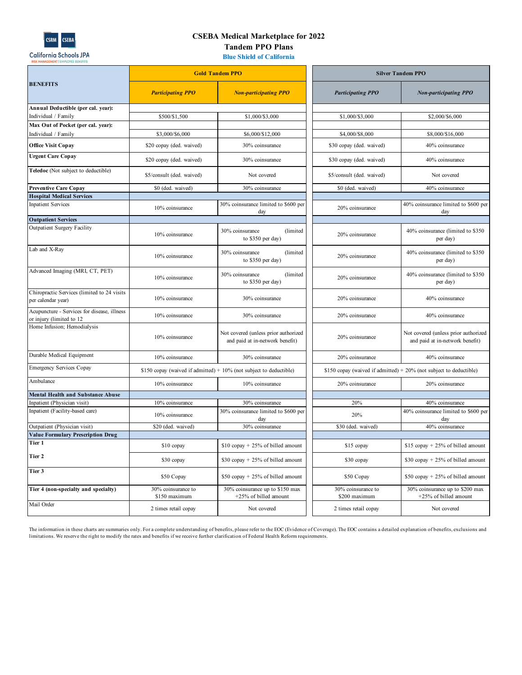

California Schools JPA

# **CSEBA Medical Marketplace for 2022 Tandem PPO Plans**

**Blue Shield of California**

|                                                                         | <b>Gold Tandem PPO</b>              |                                                                         | <b>Silver Tandem PPO</b>                                              |                                                                         |
|-------------------------------------------------------------------------|-------------------------------------|-------------------------------------------------------------------------|-----------------------------------------------------------------------|-------------------------------------------------------------------------|
| <b>BENEFITS</b>                                                         | <b>Participating PPO</b>            | <b>Non-participating PPO</b>                                            | <b>Participating PPO</b>                                              | <b>Non-participating PPO</b>                                            |
| Annual Deductible (per cal. year):                                      |                                     |                                                                         |                                                                       |                                                                         |
| Individual / Family                                                     | \$500/\$1,500                       | \$1,000/\$3,000                                                         | \$1,000/\$3,000                                                       | \$2,000/\$6,000                                                         |
| Max Out of Pocket (per cal. year):<br>Individual / Family               | \$3,000/\$6,000                     | \$6,000/\$12,000                                                        | \$4,000/\$8,000                                                       | \$8,000/\$16,000                                                        |
|                                                                         |                                     |                                                                         |                                                                       |                                                                         |
| <b>Office Visit Copay</b>                                               | \$20 copay (ded. waived)            | 30% coinsurance                                                         | \$30 copay (ded. waived)                                              | 40% coinsurance                                                         |
| <b>Urgent Care Copay</b>                                                | \$20 copay (ded. waived)            | 30% coinsurance                                                         | \$30 copay (ded. waived)                                              | 40% coinsurance                                                         |
| Teledoc (Not subject to deductible)                                     | \$5/consult (ded. waived)           | Not covered                                                             | \$5/consult (ded. waived)                                             | Not covered                                                             |
| <b>Preventive Care Copay</b>                                            | \$0 (ded. waived)                   | 30% coinsurance                                                         | \$0 (ded. waived)                                                     | 40% coinsurance                                                         |
| <b>Hospital Medical Services</b>                                        |                                     |                                                                         |                                                                       |                                                                         |
| <b>Inpatient Services</b>                                               | 10% coinsurance                     | 30% coinsurance limited to \$600 per<br>day                             | 20% coinsurance                                                       | 40% coinsurance limited to \$600 per<br>day                             |
| <b>Outpatient Services</b>                                              |                                     |                                                                         |                                                                       |                                                                         |
| Outpatient Surgery Facility                                             | 10% coinsurance                     | 30% coinsurance<br>(limited<br>to \$350 per day)                        | 20% coinsurance                                                       | 40% coinsurance (limited to \$350<br>per day)                           |
| Lab and X-Ray                                                           | 10% coinsurance                     | 30% coinsurance<br>(limited<br>to \$350 per day)                        | 20% coinsurance                                                       | 40% coinsurance (limited to \$350<br>per day)                           |
| Advanced Imaging (MRI, CT, PET)                                         | 10% coinsurance                     | 30% coinsurance<br>(limited<br>to \$350 per day)                        | 20% coinsurance                                                       | 40% coinsurance (limited to \$350<br>per day)                           |
| Chiropractic Services (limited to 24 visits<br>per calendar year)       | 10% coinsurance                     | 30% coinsurance                                                         | 20% coinsurance                                                       | 40% coinsurance                                                         |
| Acupuncture - Services for disease, illness<br>or injury (limited to 12 | 10% coinsurance                     | 30% coinsurance                                                         | 20% coinsurance                                                       | 40% coinsurance                                                         |
| Home Infusion; Hemodialysis                                             | 10% coinsurance                     | Not covered (unless prior authorized<br>and paid at in-network benefit) | 20% coinsurance                                                       | Not covered (unless prior authorized<br>and paid at in-network benefit) |
| Durable Medical Equipment                                               | 10% coinsurance                     | 30% coinsurance                                                         | 20% coinsurance                                                       | 40% coinsurance                                                         |
| <b>Emergency Services Copay</b>                                         |                                     | \$150 copay (waived if admitted) + $10\%$ (not subject to deductible)   | \$150 copay (waived if admitted) $+ 20\%$ (not subject to deductible) |                                                                         |
| Ambulance                                                               | 10% coinsurance                     | 10% coinsurance                                                         | 20% coinsurance                                                       | 20% coinsurance                                                         |
| <b>Mental Health and Substance Abuse</b>                                |                                     |                                                                         |                                                                       |                                                                         |
| Inpatient (Physician visit)<br>Inpatient (Facility-based care)          | 10% coinsurance                     | 30% coinsurance                                                         | 20%                                                                   | 40% coinsurance                                                         |
|                                                                         | 10% coinsurance                     | 30% coinsurance limited to \$600 per<br>day                             | 20%                                                                   | 40% coinsurance limited to \$600 per<br>day                             |
| Outpatient (Physician visit)                                            | \$20 (ded. waived)                  | 30% coinsurance                                                         | \$30 (ded. waived)                                                    | 40% coinsurance                                                         |
| <b>Value Formulary Prescription Drug</b>                                |                                     |                                                                         |                                                                       |                                                                         |
| Tier 1                                                                  | \$10 copay                          | $$10$ copay + 25% of billed amount                                      | \$15 copay                                                            | \$15 copay $+25%$ of billed amount                                      |
| Tier 2                                                                  | \$30 copay                          | \$30 copay $+ 25\%$ of billed amount                                    | \$30 copay                                                            | \$30 copay $+25%$ of billed amount                                      |
| Tier 3                                                                  | \$50 Copay                          | \$50 copay $+25%$ of billed amount                                      | \$50 Copay                                                            | \$50 copay $+25%$ of billed amount                                      |
| Tier 4 (non-specialty and specialty)                                    | 30% coinsurance to<br>\$150 maximum | 30% coinsurance up to \$150 max<br>+25% of billed amount                | 30% coinsurance to<br>\$200 maximum                                   | 30% coinsurance up to \$200 max<br>+25% of billed amount                |
| Mail Order                                                              | 2 times retail copay                | Not covered                                                             | 2 times retail copay                                                  | Not covered                                                             |